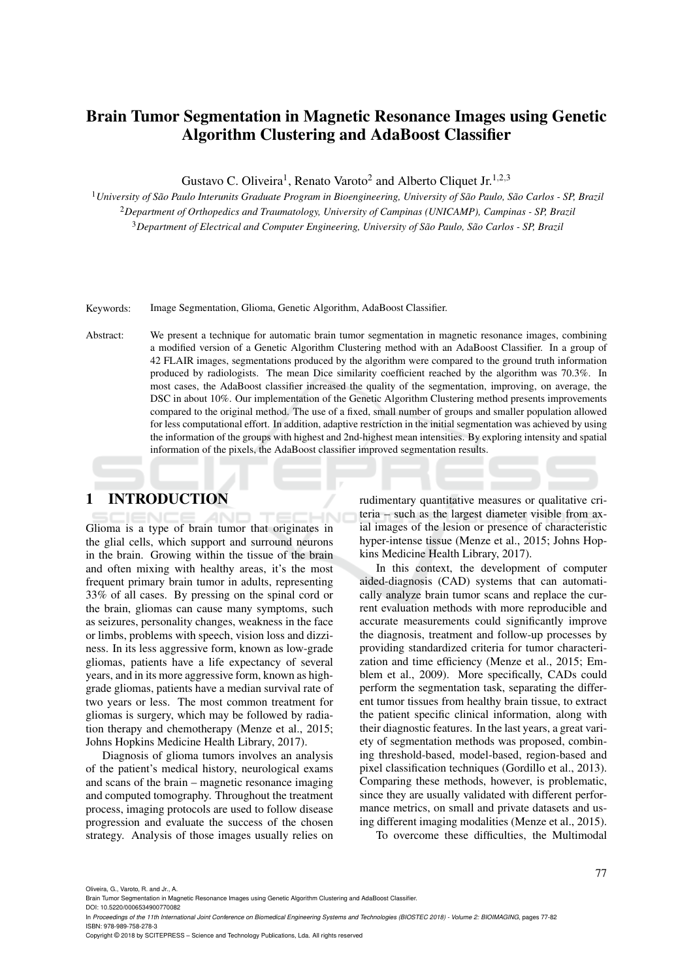# Brain Tumor Segmentation in Magnetic Resonance Images using Genetic Algorithm Clustering and AdaBoost Classifier

Gustavo C. Oliveira<sup>1</sup>, Renato Varoto<sup>2</sup> and Alberto Cliquet Jr.<sup>1,2,3</sup>

<sup>1</sup>*University of São Paulo Interunits Graduate Program in Bioengineering, University of São Paulo, São Carlos - SP, Brazil* <sup>2</sup>*Department of Orthopedics and Traumatology, University of Campinas (UNICAMP), Campinas - SP, Brazil* <sup>3</sup>*Department of Electrical and Computer Engineering, University of São Paulo, São Carlos - SP, Brazil*

Keywords: Image Segmentation, Glioma, Genetic Algorithm, AdaBoost Classifier.

Abstract: We present a technique for automatic brain tumor segmentation in magnetic resonance images, combining a modified version of a Genetic Algorithm Clustering method with an AdaBoost Classifier. In a group of 42 FLAIR images, segmentations produced by the algorithm were compared to the ground truth information produced by radiologists. The mean Dice similarity coefficient reached by the algorithm was 70.3%. In most cases, the AdaBoost classifier increased the quality of the segmentation, improving, on average, the DSC in about 10%. Our implementation of the Genetic Algorithm Clustering method presents improvements compared to the original method. The use of a fixed, small number of groups and smaller population allowed for less computational effort. In addition, adaptive restriction in the initial segmentation was achieved by using the information of the groups with highest and 2nd-highest mean intensities. By exploring intensity and spatial information of the pixels, the AdaBoost classifier improved segmentation results.

## 1 INTRODUCTION

Glioma is a type of brain tumor that originates in the glial cells, which support and surround neurons in the brain. Growing within the tissue of the brain and often mixing with healthy areas, it's the most frequent primary brain tumor in adults, representing 33% of all cases. By pressing on the spinal cord or the brain, gliomas can cause many symptoms, such as seizures, personality changes, weakness in the face or limbs, problems with speech, vision loss and dizziness. In its less aggressive form, known as low-grade gliomas, patients have a life expectancy of several years, and in its more aggressive form, known as highgrade gliomas, patients have a median survival rate of two years or less. The most common treatment for gliomas is surgery, which may be followed by radiation therapy and chemotherapy (Menze et al., 2015; Johns Hopkins Medicine Health Library, 2017).

Diagnosis of glioma tumors involves an analysis of the patient's medical history, neurological exams and scans of the brain – magnetic resonance imaging and computed tomography. Throughout the treatment process, imaging protocols are used to follow disease progression and evaluate the success of the chosen strategy. Analysis of those images usually relies on

rudimentary quantitative measures or qualitative criteria – such as the largest diameter visible from axial images of the lesion or presence of characteristic hyper-intense tissue (Menze et al., 2015; Johns Hopkins Medicine Health Library, 2017).

In this context, the development of computer aided-diagnosis (CAD) systems that can automatically analyze brain tumor scans and replace the current evaluation methods with more reproducible and accurate measurements could significantly improve the diagnosis, treatment and follow-up processes by providing standardized criteria for tumor characterization and time efficiency (Menze et al., 2015; Emblem et al., 2009). More specifically, CADs could perform the segmentation task, separating the different tumor tissues from healthy brain tissue, to extract the patient specific clinical information, along with their diagnostic features. In the last years, a great variety of segmentation methods was proposed, combining threshold-based, model-based, region-based and pixel classification techniques (Gordillo et al., 2013). Comparing these methods, however, is problematic, since they are usually validated with different performance metrics, on small and private datasets and using different imaging modalities (Menze et al., 2015).

To overcome these difficulties, the Multimodal

Oliveira, G., Varoto, R. and Jr., A.

Brain Tumor Segmentation in Magnetic Resonance Images using Genetic Algorithm Clustering and AdaBoost Classifier. DOI: 10.5220/0006534900770082

In *Proceedings of the 11th International Joint Conference on Biomedical Engineering Systems and Technologies (BIOSTEC 2018) - Volume 2: BIOIMAGING*, pages 77-82 ISBN: 978-989-758-278-3

Copyright © 2018 by SCITEPRESS – Science and Technology Publications, Lda. All rights reserved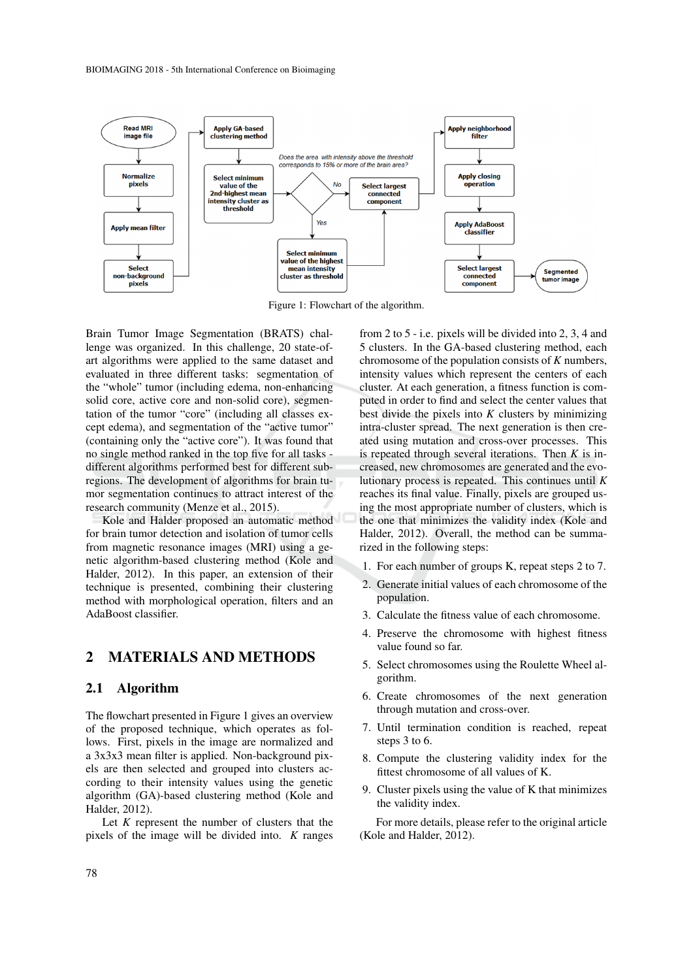

Figure 1: Flowchart of the algorithm.

Brain Tumor Image Segmentation (BRATS) challenge was organized. In this challenge, 20 state-ofart algorithms were applied to the same dataset and evaluated in three different tasks: segmentation of the "whole" tumor (including edema, non-enhancing solid core, active core and non-solid core), segmentation of the tumor "core" (including all classes except edema), and segmentation of the "active tumor" (containing only the "active core"). It was found that no single method ranked in the top five for all tasks different algorithms performed best for different subregions. The development of algorithms for brain tumor segmentation continues to attract interest of the research community (Menze et al., 2015).

Kole and Halder proposed an automatic method for brain tumor detection and isolation of tumor cells from magnetic resonance images (MRI) using a genetic algorithm-based clustering method (Kole and Halder, 2012). In this paper, an extension of their technique is presented, combining their clustering method with morphological operation, filters and an AdaBoost classifier.

### 2 MATERIALS AND METHODS

#### 2.1 Algorithm

The flowchart presented in Figure 1 gives an overview of the proposed technique, which operates as follows. First, pixels in the image are normalized and a 3x3x3 mean filter is applied. Non-background pixels are then selected and grouped into clusters according to their intensity values using the genetic algorithm (GA)-based clustering method (Kole and Halder, 2012).

Let *K* represent the number of clusters that the pixels of the image will be divided into. *K* ranges

from 2 to 5 - i.e. pixels will be divided into 2, 3, 4 and 5 clusters. In the GA-based clustering method, each chromosome of the population consists of *K* numbers, intensity values which represent the centers of each cluster. At each generation, a fitness function is computed in order to find and select the center values that best divide the pixels into *K* clusters by minimizing intra-cluster spread. The next generation is then created using mutation and cross-over processes. This is repeated through several iterations. Then *K* is increased, new chromosomes are generated and the evolutionary process is repeated. This continues until *K* reaches its final value. Finally, pixels are grouped using the most appropriate number of clusters, which is the one that minimizes the validity index (Kole and Halder, 2012). Overall, the method can be summarized in the following steps:

- 1. For each number of groups K, repeat steps 2 to 7.
- 2. Generate initial values of each chromosome of the population.
- 3. Calculate the fitness value of each chromosome.
- 4. Preserve the chromosome with highest fitness value found so far.
- 5. Select chromosomes using the Roulette Wheel algorithm.
- 6. Create chromosomes of the next generation through mutation and cross-over.
- 7. Until termination condition is reached, repeat steps 3 to 6.
- 8. Compute the clustering validity index for the fittest chromosome of all values of K.
- 9. Cluster pixels using the value of K that minimizes the validity index.

For more details, please refer to the original article (Kole and Halder, 2012).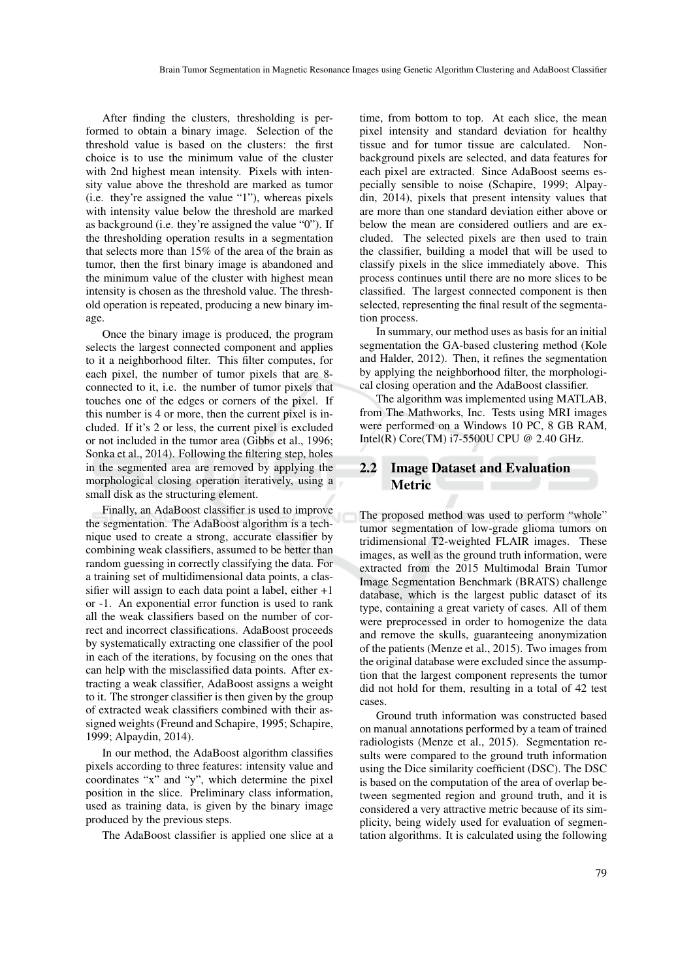After finding the clusters, thresholding is performed to obtain a binary image. Selection of the threshold value is based on the clusters: the first choice is to use the minimum value of the cluster with 2nd highest mean intensity. Pixels with intensity value above the threshold are marked as tumor (i.e. they're assigned the value "1"), whereas pixels with intensity value below the threshold are marked as background (i.e. they're assigned the value "0"). If the thresholding operation results in a segmentation that selects more than 15% of the area of the brain as tumor, then the first binary image is abandoned and the minimum value of the cluster with highest mean intensity is chosen as the threshold value. The threshold operation is repeated, producing a new binary image.

Once the binary image is produced, the program selects the largest connected component and applies to it a neighborhood filter. This filter computes, for each pixel, the number of tumor pixels that are 8 connected to it, i.e. the number of tumor pixels that touches one of the edges or corners of the pixel. If this number is 4 or more, then the current pixel is included. If it's 2 or less, the current pixel is excluded or not included in the tumor area (Gibbs et al., 1996; Sonka et al., 2014). Following the filtering step, holes in the segmented area are removed by applying the morphological closing operation iteratively, using a small disk as the structuring element.

Finally, an AdaBoost classifier is used to improve the segmentation. The AdaBoost algorithm is a technique used to create a strong, accurate classifier by combining weak classifiers, assumed to be better than random guessing in correctly classifying the data. For a training set of multidimensional data points, a classifier will assign to each data point a label, either +1 or -1. An exponential error function is used to rank all the weak classifiers based on the number of correct and incorrect classifications. AdaBoost proceeds by systematically extracting one classifier of the pool in each of the iterations, by focusing on the ones that can help with the misclassified data points. After extracting a weak classifier, AdaBoost assigns a weight to it. The stronger classifier is then given by the group of extracted weak classifiers combined with their assigned weights (Freund and Schapire, 1995; Schapire, 1999; Alpaydin, 2014).

In our method, the AdaBoost algorithm classifies pixels according to three features: intensity value and coordinates "x" and "y", which determine the pixel position in the slice. Preliminary class information, used as training data, is given by the binary image produced by the previous steps.

The AdaBoost classifier is applied one slice at a

time, from bottom to top. At each slice, the mean pixel intensity and standard deviation for healthy tissue and for tumor tissue are calculated. Nonbackground pixels are selected, and data features for each pixel are extracted. Since AdaBoost seems especially sensible to noise (Schapire, 1999; Alpaydin, 2014), pixels that present intensity values that are more than one standard deviation either above or below the mean are considered outliers and are excluded. The selected pixels are then used to train the classifier, building a model that will be used to classify pixels in the slice immediately above. This process continues until there are no more slices to be classified. The largest connected component is then selected, representing the final result of the segmentation process.

In summary, our method uses as basis for an initial segmentation the GA-based clustering method (Kole and Halder, 2012). Then, it refines the segmentation by applying the neighborhood filter, the morphological closing operation and the AdaBoost classifier.

The algorithm was implemented using MATLAB, from The Mathworks, Inc. Tests using MRI images were performed on a Windows 10 PC, 8 GB RAM, Intel(R) Core(TM) i7-5500U CPU @ 2.40 GHz.

#### 2.2 Image Dataset and Evaluation **Metric**

The proposed method was used to perform "whole" tumor segmentation of low-grade glioma tumors on tridimensional T2-weighted FLAIR images. These images, as well as the ground truth information, were extracted from the 2015 Multimodal Brain Tumor Image Segmentation Benchmark (BRATS) challenge database, which is the largest public dataset of its type, containing a great variety of cases. All of them were preprocessed in order to homogenize the data and remove the skulls, guaranteeing anonymization of the patients (Menze et al., 2015). Two images from the original database were excluded since the assumption that the largest component represents the tumor did not hold for them, resulting in a total of 42 test cases.

Ground truth information was constructed based on manual annotations performed by a team of trained radiologists (Menze et al., 2015). Segmentation results were compared to the ground truth information using the Dice similarity coefficient (DSC). The DSC is based on the computation of the area of overlap between segmented region and ground truth, and it is considered a very attractive metric because of its simplicity, being widely used for evaluation of segmentation algorithms. It is calculated using the following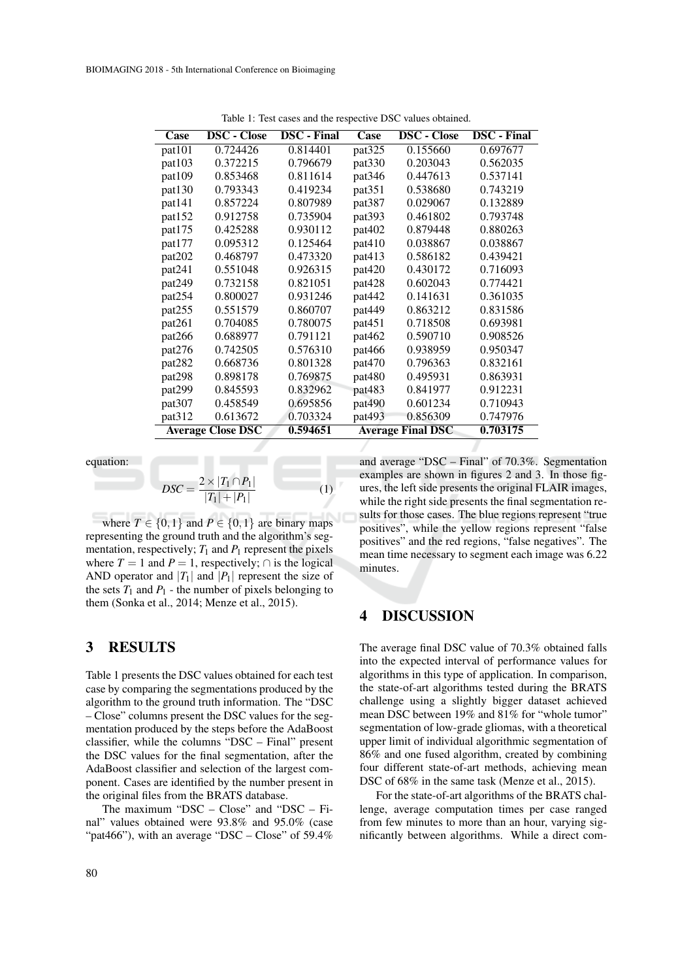| Case                     | <b>DSC</b> - Close | <b>DSC</b> - Final | Case                     | <b>DSC</b> - Close | <b>DSC</b> - Final |
|--------------------------|--------------------|--------------------|--------------------------|--------------------|--------------------|
| pat <sub>101</sub>       | 0.724426           | 0.814401           | pat325                   | 0.155660           | 0.697677           |
| pat103                   | 0.372215           | 0.796679           | pat330                   | 0.203043           | 0.562035           |
| pat109                   | 0.853468           | 0.811614           | pat346                   | 0.447613           | 0.537141           |
| pat130                   | 0.793343           | 0.419234           | pat351                   | 0.538680           | 0.743219           |
| pat141                   | 0.857224           | 0.807989           | pat387                   | 0.029067           | 0.132889           |
| pat152                   | 0.912758           | 0.735904           | pat <sub>393</sub>       | 0.461802           | 0.793748           |
| pat175                   | 0.425288           | 0.930112           | pat402                   | 0.879448           | 0.880263           |
| pat177                   | 0.095312           | 0.125464           | pat410                   | 0.038867           | 0.038867           |
| pat202                   | 0.468797           | 0.473320           | pat413                   | 0.586182           | 0.439421           |
| pat241                   | 0.551048           | 0.926315           | pat420                   | 0.430172           | 0.716093           |
| pat249                   | 0.732158           | 0.821051           | pat428                   | 0.602043           | 0.774421           |
| pat254                   | 0.800027           | 0.931246           | pat442                   | 0.141631           | 0.361035           |
| pat255                   | 0.551579           | 0.860707           | pat449                   | 0.863212           | 0.831586           |
| pat261                   | 0.704085           | 0.780075           | pat451                   | 0.718508           | 0.693981           |
| pat266                   | 0.688977           | 0.791121           | pat462                   | 0.590710           | 0.908526           |
| pat276                   | 0.742505           | 0.576310           | pat466                   | 0.938959           | 0.950347           |
| pat <sub>282</sub>       | 0.668736           | 0.801328           | pat470                   | 0.796363           | 0.832161           |
| pat298                   | 0.898178           | 0.769875           | pat480                   | 0.495931           | 0.863931           |
| pat299                   | 0.845593           | 0.832962           | pat483                   | 0.841977           | 0.912231           |
| pat307                   | 0.458549           | 0.695856           | pat490                   | 0.601234           | 0.710943           |
| pat <sub>312</sub>       | 0.613672           | 0.703324           | pat <sub>493</sub>       | 0.856309           | 0.747976           |
| <b>Average Close DSC</b> |                    | 0.594651           | <b>Average Final DSC</b> |                    | 0.703175           |

Table 1: Test cases and the respective DSC values obtained.

equation:

$$
DSC = \frac{2 \times |T_1 \cap P_1|}{|T_1| + |P_1|} \tag{1}
$$

where  $T \in \{0,1\}$  and  $P \in \{0,1\}$  are binary maps representing the ground truth and the algorithm's segmentation, respectively;  $T_1$  and  $P_1$  represent the pixels where  $T = 1$  and  $P = 1$ , respectively;  $\cap$  is the logical AND operator and  $|T_1|$  and  $|P_1|$  represent the size of the sets  $T_1$  and  $P_1$  - the number of pixels belonging to them (Sonka et al., 2014; Menze et al., 2015).

#### 3 RESULTS

Table 1 presents the DSC values obtained for each test case by comparing the segmentations produced by the algorithm to the ground truth information. The "DSC – Close" columns present the DSC values for the segmentation produced by the steps before the AdaBoost classifier, while the columns "DSC – Final" present the DSC values for the final segmentation, after the AdaBoost classifier and selection of the largest component. Cases are identified by the number present in the original files from the BRATS database.

The maximum "DSC – Close" and "DSC – Final" values obtained were 93.8% and 95.0% (case "pat466"), with an average "DSC – Close" of  $59.4\%$  and average "DSC – Final" of 70.3%. Segmentation examples are shown in figures 2 and 3. In those figures, the left side presents the original FLAIR images, while the right side presents the final segmentation results for those cases. The blue regions represent "true positives", while the yellow regions represent "false positives" and the red regions, "false negatives". The mean time necessary to segment each image was 6.22 minutes.

#### 4 DISCUSSION

The average final DSC value of 70.3% obtained falls into the expected interval of performance values for algorithms in this type of application. In comparison, the state-of-art algorithms tested during the BRATS challenge using a slightly bigger dataset achieved mean DSC between 19% and 81% for "whole tumor" segmentation of low-grade gliomas, with a theoretical upper limit of individual algorithmic segmentation of 86% and one fused algorithm, created by combining four different state-of-art methods, achieving mean DSC of  $68\%$  in the same task (Menze et al., 2015).

For the state-of-art algorithms of the BRATS challenge, average computation times per case ranged from few minutes to more than an hour, varying significantly between algorithms. While a direct com-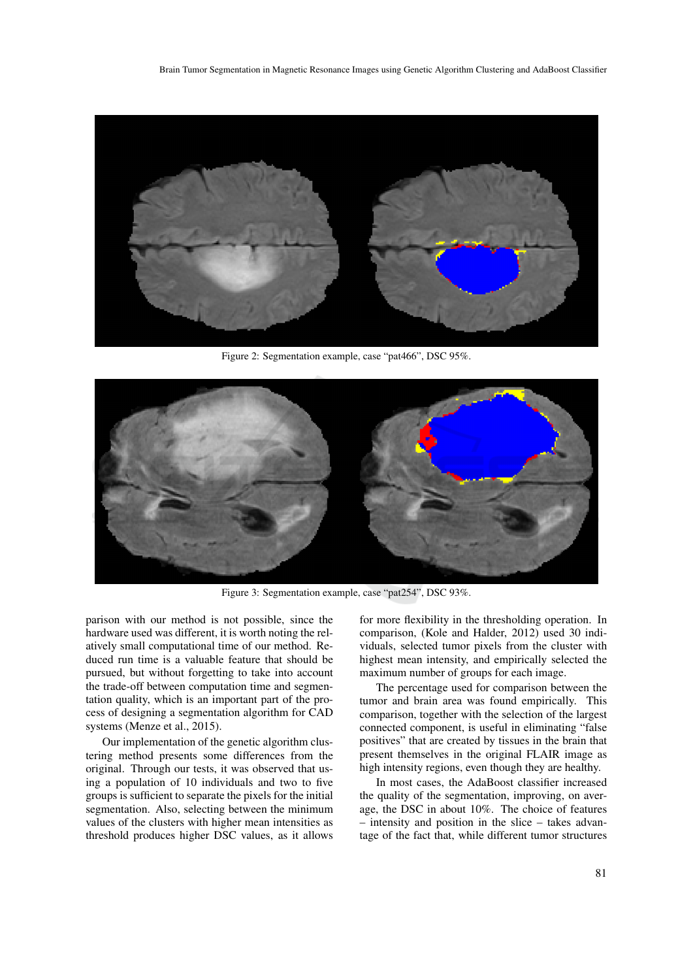

Figure 2: Segmentation example, case "pat466", DSC 95%.



Figure 3: Segmentation example, case "pat254", DSC 93%.

parison with our method is not possible, since the hardware used was different, it is worth noting the relatively small computational time of our method. Reduced run time is a valuable feature that should be pursued, but without forgetting to take into account the trade-off between computation time and segmentation quality, which is an important part of the process of designing a segmentation algorithm for CAD systems (Menze et al., 2015).

Our implementation of the genetic algorithm clustering method presents some differences from the original. Through our tests, it was observed that using a population of 10 individuals and two to five groups is sufficient to separate the pixels for the initial segmentation. Also, selecting between the minimum values of the clusters with higher mean intensities as threshold produces higher DSC values, as it allows

for more flexibility in the thresholding operation. In comparison, (Kole and Halder, 2012) used 30 individuals, selected tumor pixels from the cluster with highest mean intensity, and empirically selected the maximum number of groups for each image.

The percentage used for comparison between the tumor and brain area was found empirically. This comparison, together with the selection of the largest connected component, is useful in eliminating "false positives" that are created by tissues in the brain that present themselves in the original FLAIR image as high intensity regions, even though they are healthy.

In most cases, the AdaBoost classifier increased the quality of the segmentation, improving, on average, the DSC in about 10%. The choice of features – intensity and position in the slice – takes advantage of the fact that, while different tumor structures